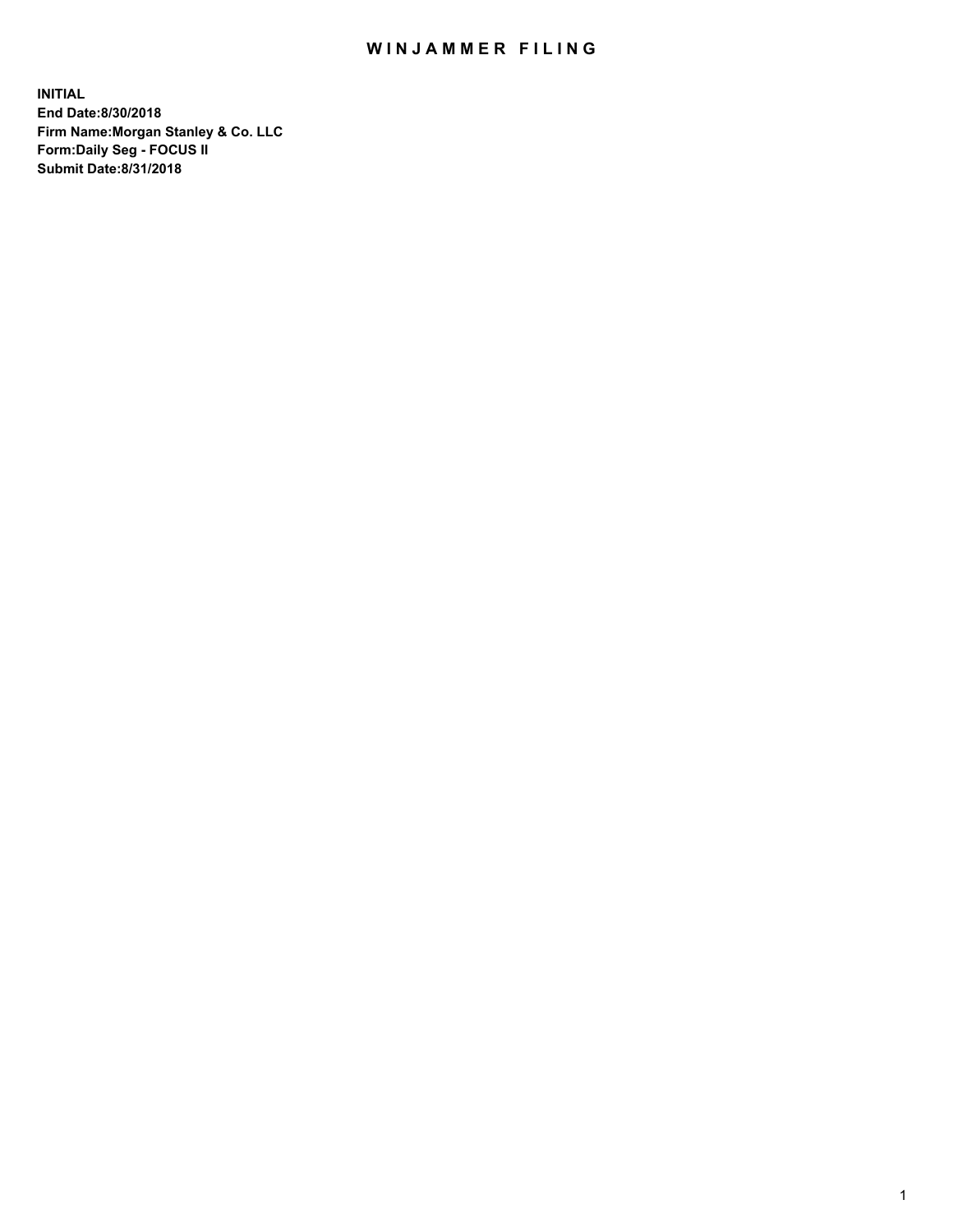## WIN JAMMER FILING

**INITIAL End Date:8/30/2018 Firm Name:Morgan Stanley & Co. LLC Form:Daily Seg - FOCUS II Submit Date:8/31/2018**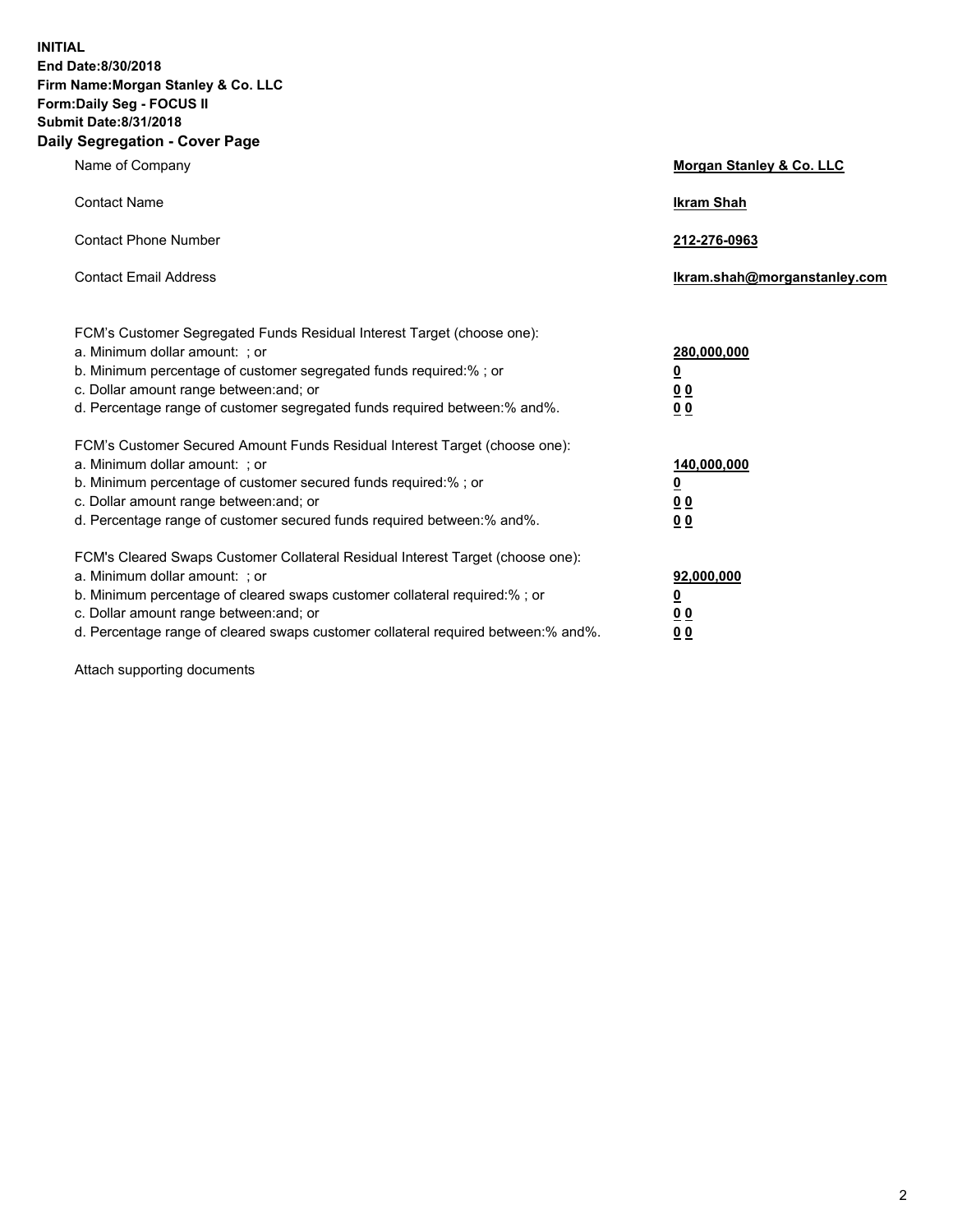**INITIAL End Date:8/30/2018 Firm Name:Morgan Stanley & Co. LLC Form:Daily Seg - FOCUS II Submit Date:8/31/2018 Daily Segregation - Cover Page**

| Name of Company                                                                                                                                                                                                                                                                                                                | Morgan Stanley & Co. LLC                               |
|--------------------------------------------------------------------------------------------------------------------------------------------------------------------------------------------------------------------------------------------------------------------------------------------------------------------------------|--------------------------------------------------------|
| <b>Contact Name</b>                                                                                                                                                                                                                                                                                                            | <b>Ikram Shah</b>                                      |
| <b>Contact Phone Number</b>                                                                                                                                                                                                                                                                                                    | 212-276-0963                                           |
| <b>Contact Email Address</b>                                                                                                                                                                                                                                                                                                   | lkram.shah@morganstanley.com                           |
| FCM's Customer Segregated Funds Residual Interest Target (choose one):<br>a. Minimum dollar amount: ; or<br>b. Minimum percentage of customer segregated funds required:% ; or<br>c. Dollar amount range between: and; or<br>d. Percentage range of customer segregated funds required between:% and%.                         | 280,000,000<br><u>0</u><br><u>0 0</u><br>0 Q           |
| FCM's Customer Secured Amount Funds Residual Interest Target (choose one):<br>a. Minimum dollar amount: ; or<br>b. Minimum percentage of customer secured funds required:%; or<br>c. Dollar amount range between: and; or<br>d. Percentage range of customer secured funds required between:% and%.                            | 140,000,000<br><u>0</u><br><u>00</u><br>0 <sub>0</sub> |
| FCM's Cleared Swaps Customer Collateral Residual Interest Target (choose one):<br>a. Minimum dollar amount: ; or<br>b. Minimum percentage of cleared swaps customer collateral required:% ; or<br>c. Dollar amount range between: and; or<br>d. Percentage range of cleared swaps customer collateral required between:% and%. | 92,000,000<br><u>0</u><br><u>00</u><br>0 <sup>0</sup>  |

Attach supporting documents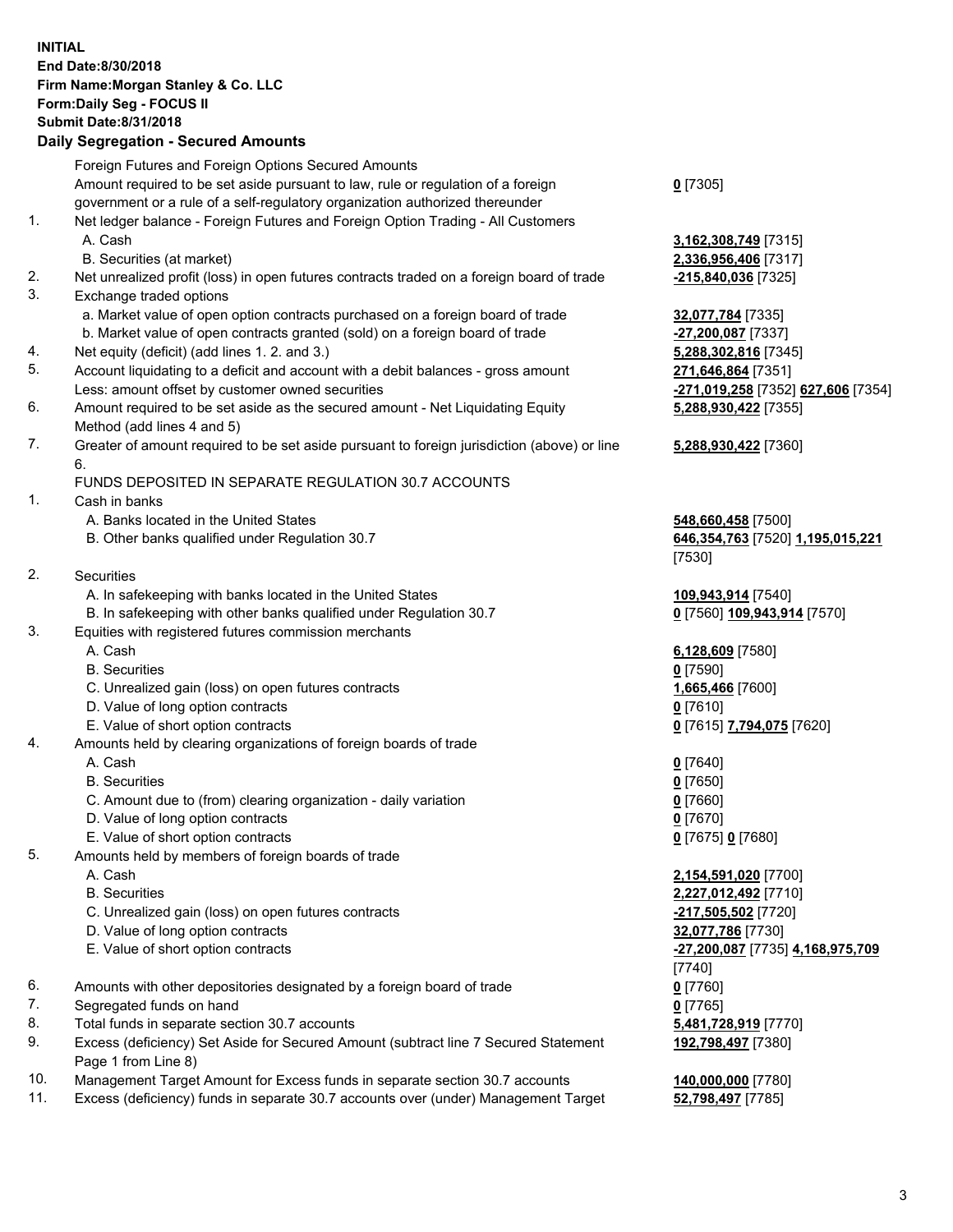## **INITIAL End Date:8/30/2018 Firm Name:Morgan Stanley & Co. LLC Form:Daily Seg - FOCUS II Submit Date:8/31/2018**

## **Daily Segregation - Secured Amounts**

|    | Foreign Futures and Foreign Options Secured Amounts                                                        |                                    |
|----|------------------------------------------------------------------------------------------------------------|------------------------------------|
|    | Amount required to be set aside pursuant to law, rule or regulation of a foreign                           | $0$ [7305]                         |
|    | government or a rule of a self-regulatory organization authorized thereunder                               |                                    |
| 1. | Net ledger balance - Foreign Futures and Foreign Option Trading - All Customers                            |                                    |
|    | A. Cash                                                                                                    | 3,162,308,749 [7315]               |
|    | B. Securities (at market)                                                                                  | 2,336,956,406 [7317]               |
| 2. | Net unrealized profit (loss) in open futures contracts traded on a foreign board of trade                  | -215,840,036 [7325]                |
| 3. | Exchange traded options                                                                                    |                                    |
|    | a. Market value of open option contracts purchased on a foreign board of trade                             | 32,077,784 [7335]                  |
|    | b. Market value of open contracts granted (sold) on a foreign board of trade                               | $-27,200,087$ [7337]               |
| 4. | Net equity (deficit) (add lines 1.2. and 3.)                                                               | 5,288,302,816 [7345]               |
| 5. | Account liquidating to a deficit and account with a debit balances - gross amount                          | 271,646,864 [7351]                 |
|    | Less: amount offset by customer owned securities                                                           | -271,019,258 [7352]                |
| 6. | Amount required to be set aside as the secured amount - Net Liquidating Equity                             | 5,288,930,422 [7355]               |
|    | Method (add lines 4 and 5)                                                                                 |                                    |
| 7. | Greater of amount required to be set aside pursuant to foreign jurisdiction (above) or line                | 5,288,930,422 [7360]               |
|    | 6.                                                                                                         |                                    |
|    | FUNDS DEPOSITED IN SEPARATE REGULATION 30.7 ACCOUNTS                                                       |                                    |
| 1. | Cash in banks                                                                                              |                                    |
|    | A. Banks located in the United States                                                                      | 548,660,458 [7500]                 |
|    | B. Other banks qualified under Regulation 30.7                                                             | 646,354,763 [7520] 1               |
|    |                                                                                                            | [7530]                             |
| 2. | Securities                                                                                                 |                                    |
|    | A. In safekeeping with banks located in the United States                                                  | 109,943,914 [7540]                 |
|    | B. In safekeeping with other banks qualified under Regulation 30.7                                         | 0 [7560] 109,943,914               |
| 3. | Equities with registered futures commission merchants                                                      |                                    |
|    | A. Cash                                                                                                    | 6,128,609 [7580]                   |
|    | <b>B.</b> Securities                                                                                       | $0$ [7590]                         |
|    | C. Unrealized gain (loss) on open futures contracts                                                        | 1,665,466 [7600]                   |
|    | D. Value of long option contracts                                                                          | $0$ [7610]                         |
|    | E. Value of short option contracts                                                                         | 0 [7615] 7,794,075 [7              |
| 4. | Amounts held by clearing organizations of foreign boards of trade                                          |                                    |
|    | A. Cash                                                                                                    | $0$ [7640]                         |
|    | <b>B.</b> Securities                                                                                       |                                    |
|    |                                                                                                            | $0$ [7650]                         |
|    | C. Amount due to (from) clearing organization - daily variation                                            | $0$ [7660]                         |
|    | D. Value of long option contracts                                                                          | $0$ [7670]                         |
|    | E. Value of short option contracts                                                                         | 0 [7675] 0 [7680]                  |
| 5. | Amounts held by members of foreign boards of trade                                                         |                                    |
|    | A. Cash                                                                                                    | 2,154,591,020 [7700]               |
|    | <b>B.</b> Securities                                                                                       | 2,227,012,492 <sub>[7710]</sub>    |
|    | C. Unrealized gain (loss) on open futures contracts                                                        | -217,505,502 <sup>[7720]</sup>     |
|    | D. Value of long option contracts                                                                          | 32,077,786 [7730]                  |
|    | E. Value of short option contracts                                                                         | <mark>-27,200,087</mark> [7735] 4. |
|    |                                                                                                            | [7740]                             |
| 6. | Amounts with other depositories designated by a foreign board of trade                                     | $0$ [7760]                         |
| 7. | Segregated funds on hand                                                                                   | $0$ [7765]                         |
| 8. | Total funds in separate section 30.7 accounts                                                              | 5,481,728,919 [7770]               |
| 9. | Excess (deficiency) Set Aside for Secured Amount (subtract line 7 Secured Statement<br>Page 1 from Line 8) | 192,798,497 [7380]                 |

- 10. Management Target Amount for Excess funds in separate section 30.7 accounts **140,000,000** [7780]
- 11. Excess (deficiency) funds in separate 30.7 accounts over (under) Management Target **52,798,497** [7785]

Less: amount offset by customer owned securities **-271,019,258** [7352] **627,606** [7354] **5,288,930,422** [7355]

## **5,288,930,422** [7360]

B. Other banks qualified under Regulation 30.7 **646,354,763** [7520] **1,195,015,221**

 $\underline{109,943,914}$  [7570]

E. Value of short option contracts **0** [7615] **7,794,075** [7620]

 E. Value of short option contracts **-27,200,087** [7735] **4,168,975,709 192,798,497** [7380]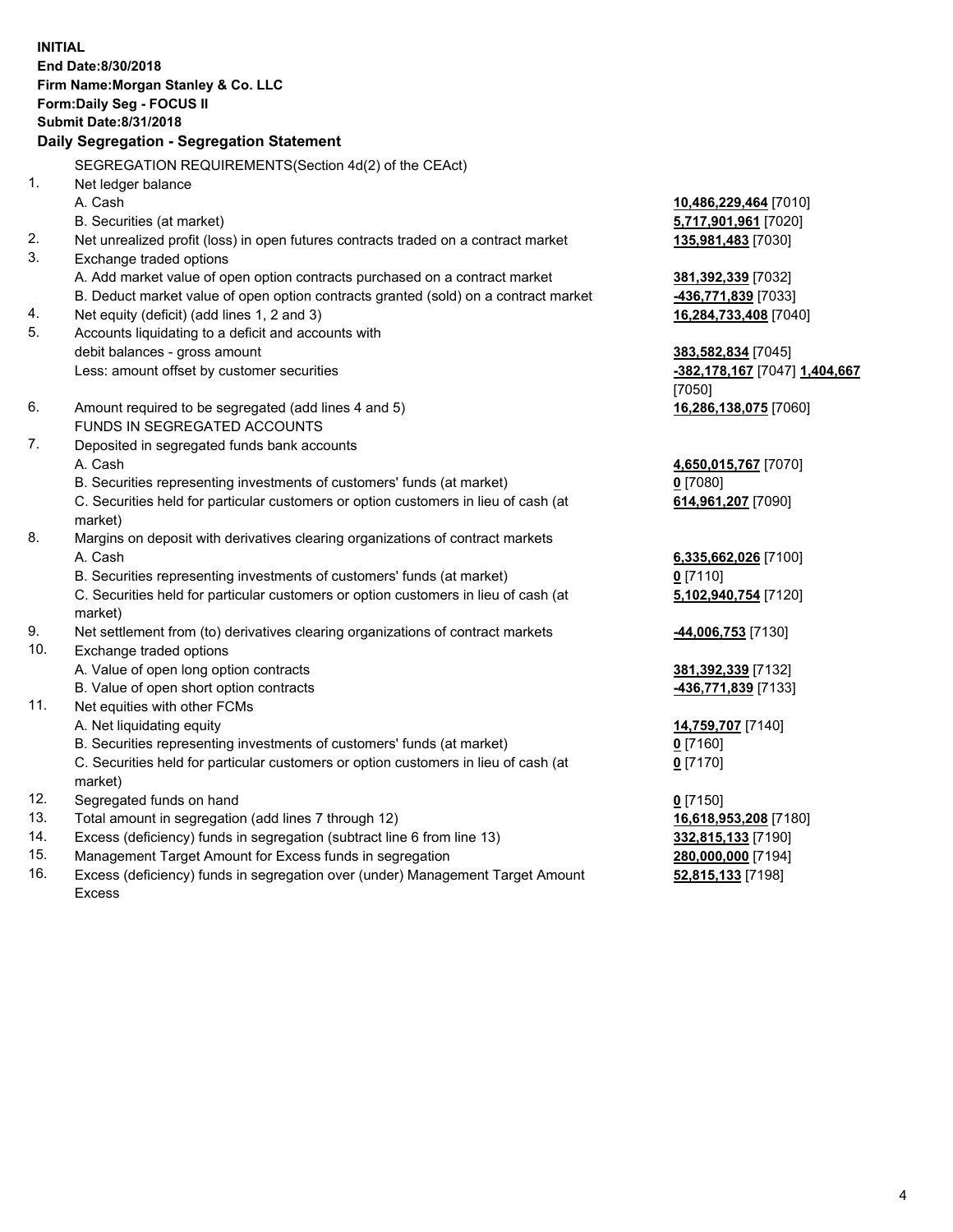**INITIAL End Date:8/30/2018 Firm Name:Morgan Stanley & Co. LLC Form:Daily Seg - FOCUS II Submit Date:8/31/2018 Daily Segregation - Segregation Statement** SEGREGATION REQUIREMENTS(Section 4d(2) of the CEAct) 1. Net ledger balance A. Cash **10,486,229,464** [7010] B. Securities (at market) **5,717,901,961** [7020] 2. Net unrealized profit (loss) in open futures contracts traded on a contract market **135,981,483** [7030] 3. Exchange traded options A. Add market value of open option contracts purchased on a contract market **381,392,339** [7032] B. Deduct market value of open option contracts granted (sold) on a contract market **-436,771,839** [7033] 4. Net equity (deficit) (add lines 1, 2 and 3) **16,284,733,408** [7040] 5. Accounts liquidating to a deficit and accounts with debit balances - gross amount **383,582,834** [7045] Less: amount offset by customer securities **-382,178,167** [7047] **1,404,667** [7050] 6. Amount required to be segregated (add lines 4 and 5) **16,286,138,075** [7060] FUNDS IN SEGREGATED ACCOUNTS 7. Deposited in segregated funds bank accounts A. Cash **4,650,015,767** [7070] B. Securities representing investments of customers' funds (at market) **0** [7080] C. Securities held for particular customers or option customers in lieu of cash (at market) **614,961,207** [7090] 8. Margins on deposit with derivatives clearing organizations of contract markets A. Cash **6,335,662,026** [7100] B. Securities representing investments of customers' funds (at market) **0** [7110] C. Securities held for particular customers or option customers in lieu of cash (at market) **5,102,940,754** [7120] 9. Net settlement from (to) derivatives clearing organizations of contract markets **-44,006,753** [7130] 10. Exchange traded options A. Value of open long option contracts **381,392,339** [7132] B. Value of open short option contracts **-436,771,839** [7133] 11. Net equities with other FCMs A. Net liquidating equity **14,759,707** [7140] B. Securities representing investments of customers' funds (at market) **0** [7160] C. Securities held for particular customers or option customers in lieu of cash (at market) **0** [7170] 12. Segregated funds on hand **0** [7150] 13. Total amount in segregation (add lines 7 through 12) **16,618,953,208** [7180] 14. Excess (deficiency) funds in segregation (subtract line 6 from line 13) **332,815,133** [7190] 15. Management Target Amount for Excess funds in segregation **280,000,000** [7194]

16. Excess (deficiency) funds in segregation over (under) Management Target Amount Excess

**52,815,133** [7198]